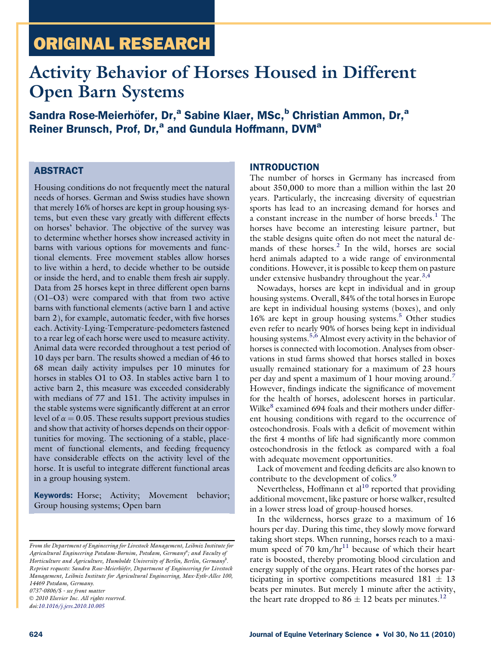# ORIGINAL RESEARCH

# Activity Behavior of Horses Housed in Different Open Barn Systems

Sandra Rose-Meierhöfer, Dr,<sup>a</sup> Sabine Klaer, MSc,<sup>b</sup> Christian Ammon, Dr,<sup>a</sup> Reiner Brunsch, Prof, Dr,<sup>a</sup> and Gundula Hoffmann, DVM<sup>a</sup>

# ABSTRACT

Housing conditions do not frequently meet the natural needs of horses. German and Swiss studies have shown that merely 16% of horses are kept in group housing systems, but even these vary greatly with different effects on horses' behavior. The objective of the survey was to determine whether horses show increased activity in barns with various options for movements and functional elements. Free movement stables allow horses to live within a herd, to decide whether to be outside or inside the herd, and to enable them fresh air supply. Data from 25 horses kept in three different open barns (O1–O3) were compared with that from two active barns with functional elements (active barn 1 and active barn 2), for example, automatic feeder, with five horses each. Activity-Lying-Temperature-pedometers fastened to a rear leg of each horse were used to measure activity. Animal data were recorded throughout a test period of 10 days per barn. The results showed a median of 46 to 68 mean daily activity impulses per 10 minutes for horses in stables O1 to O3. In stables active barn 1 to active barn 2, this measure was exceeded considerably with medians of 77 and 151. The activity impulses in the stable systems were significantly different at an error level of  $\alpha = 0.05$ . These results support previous studies and show that activity of horses depends on their opportunities for moving. The sectioning of a stable, placement of functional elements, and feeding frequency have considerable effects on the activity level of the horse. It is useful to integrate different functional areas in a group housing system.

Keywords: Horse; Activity; Movement behavior; Group housing systems; Open barn

0737-0806/\$ - see front matter 2010 Elsevier Inc. All rights reserved. doi[:10.1016/j.jevs.2010.10.005](http://dx.doi.org/10.1016/j.jevs.2010.10.005)

# INTRODUCTION

The number of horses in Germany has increased from about 350,000 to more than a million within the last 20 years. Particularly, the increasing diversity of equestrian sports has lead to an increasing demand for horses and a constant increase in the number of horse breeds.<sup>[1](#page-8-0)</sup> The horses have become an interesting leisure partner, but the stable designs quite often do not meet the natural demands of these horses. $2$  In the wild, horses are social herd animals adapted to a wide range of environmental conditions. However, it is possible to keep them on pasture under extensive husbandry throughout the year.  $3,4$ 

Nowadays, horses are kept in individual and in group housing systems. Overall, 84% of the total horses in Europe are kept in individual housing systems (boxes), and only 16% are kept in group housing systems.<sup>5</sup> Other studies even refer to nearly 90% of horses being kept in individual housing systems.<sup>[5,6](#page-9-0)</sup> Almost every activity in the behavior of horses is connected with locomotion. Analyses from observations in stud farms showed that horses stalled in boxes usually remained stationary for a maximum of 23 hours per day and spent a maximum of 1 hour moving around.<sup>[7](#page-9-0)</sup> However, findings indicate the significance of movement for the health of horses, adolescent horses in particular. Wilke<sup>[8](#page-9-0)</sup> examined 694 foals and their mothers under different housing conditions with regard to the occurrence of osteochondrosis. Foals with a deficit of movement within the first 4 months of life had significantly more common osteochondrosis in the fetlock as compared with a foal with adequate movement opportunities.

Lack of movement and feeding deficits are also known to contribute to the development of colics.<sup>[9](#page-9-0)</sup>

Nevertheless, Hoffmann et  $al^{10}$  $al^{10}$  $al^{10}$  reported that providing additional movement, like pasture or horse walker, resulted in a lower stress load of group-housed horses.

In the wilderness, horses graze to a maximum of 16 hours per day. During this time, they slowly move forward taking short steps. When running, horses reach to a maximum speed of  $70 \text{ km/hr}^{11}$  $70 \text{ km/hr}^{11}$  $70 \text{ km/hr}^{11}$  because of which their heart rate is boosted, thereby promoting blood circulation and energy supply of the organs. Heart rates of the horses participating in sportive competitions measured  $181 \pm 13$ beats per minutes. But merely 1 minute after the activity, the heart rate dropped to  $86 \pm 12$  $86 \pm 12$  beats per minutes.<sup>12</sup>

From the Department of Engineering for Livestock Management, Leibniz Institute for Agricultural Engineering Potsdam-Bornim, Potsdam, Germany<sup>a</sup>; and Faculty of Horticulture and Agriculture, Humboldt University of Berlin, Berlin, Germany<sup>b</sup>. Reprint requests: Sandra Rose-Meierhöfer, Department of Engineering for Livestock Management, Leibniz Institute for Agricultural Engineering, Max-Eyth-Allee 100, 14469 Potsdam, Germany.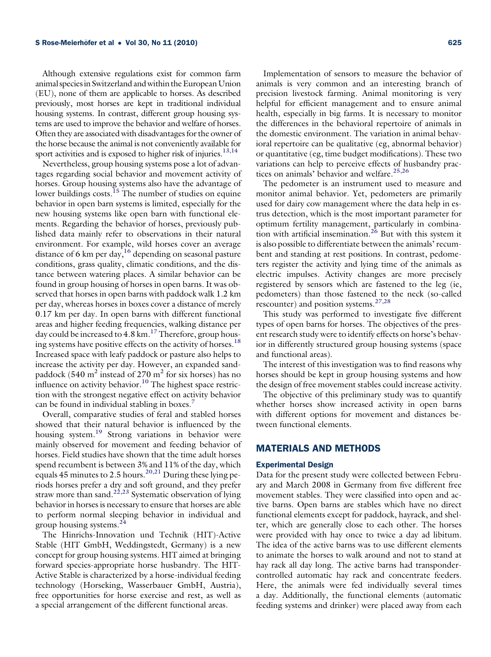Although extensive regulations exist for common farm animal species in Switzerland and within the European Union (EU), none of them are applicable to horses. As described previously, most horses are kept in traditional individual housing systems. In contrast, different group housing systems are used to improve the behavior and welfare of horses. Often they are associated with disadvantages for the owner of the horse because the animal is not conveniently available for sport activities and is exposed to higher risk of injuries.<sup>13,14</sup>

Nevertheless, group housing systems pose a lot of advantages regarding social behavior and movement activity of horses. Group housing systems also have the advantage of lower buildings costs.<sup>[15](#page-9-0)</sup> The number of studies on equine behavior in open barn systems is limited, especially for the new housing systems like open barn with functional elements. Regarding the behavior of horses, previously published data mainly refer to observations in their natural environment. For example, wild horses cover an average distance of 6 km per day,<sup>[16](#page-9-0)</sup> depending on seasonal pasture conditions, grass quality, climatic conditions, and the distance between watering places. A similar behavior can be found in group housing of horses in open barns. It was observed that horses in open barns with paddock walk 1.2 km per day, whereas horses in boxes cover a distance of merely 0.17 km per day. In open barns with different functional areas and higher feeding frequencies, walking distance per day could be increased to  $4.8 \text{ km.}^{17}$  $4.8 \text{ km.}^{17}$  $4.8 \text{ km.}^{17}$  Therefore, group hous-ing systems have positive effects on the activity of horses.<sup>[18](#page-9-0)</sup> Increased space with leafy paddock or pasture also helps to increase the activity per day. However, an expanded sandpaddock (540 m<sup>2</sup> instead of 270 m<sup>2</sup> for six horses) has no influence on activity behavior.<sup>[10](#page-9-0)</sup> The highest space restriction with the strongest negative effect on activity behavior can be found in individual stabling in boxes.<sup>[7](#page-9-0)</sup>

Overall, comparative studies of feral and stabled horses showed that their natural behavior is influenced by the housing system.<sup>[19](#page-9-0)</sup> Strong variations in behavior were mainly observed for movement and feeding behavior of horses. Field studies have shown that the time adult horses spend recumbent is between 3% and 11% of the day, which equals 45 minutes to 2.5 hours.<sup>[20,21](#page-9-0)</sup> During these lying periods horses prefer a dry and soft ground, and they prefer straw more than sand.<sup>[22,23](#page-9-0)</sup> Systematic observation of lying behavior in horses is necessary to ensure that horses are able to perform normal sleeping behavior in individual and group housing systems.<sup>[24](#page-9-0)</sup>

The Hinrichs-Innovation und Technik (HIT)-Active Stable (HIT GmbH, Weddingstedt, Germany) is a new concept for group housing systems. HIT aimed at bringing forward species-appropriate horse husbandry. The HIT-Active Stable is characterized by a horse-individual feeding technology (Horseking, Wasserbauer GmbH, Austria), free opportunities for horse exercise and rest, as well as a special arrangement of the different functional areas.

Implementation of sensors to measure the behavior of animals is very common and an interesting branch of precision livestock farming. Animal monitoring is very helpful for efficient management and to ensure animal health, especially in big farms. It is necessary to monitor the differences in the behavioral repertoire of animals in the domestic environment. The variation in animal behavioral repertoire can be qualitative (eg, abnormal behavior) or quantitative (eg, time budget modifications). These two variations can help to perceive effects of husbandry prac-tices on animals' behavior and welfare.<sup>[25,26](#page-9-0)</sup>

The pedometer is an instrument used to measure and monitor animal behavior. Yet, pedometers are primarily used for dairy cow management where the data help in estrus detection, which is the most important parameter for optimum fertility management, particularly in combination with artificial insemination.[26](#page-9-0) But with this system it is also possible to differentiate between the animals' recumbent and standing at rest positions. In contrast, pedometers register the activity and lying time of the animals as electric impulses. Activity changes are more precisely registered by sensors which are fastened to the leg (ie, pedometers) than those fastened to the neck (so-called rescounter) and position systems. $27,28$ 

This study was performed to investigate five different types of open barns for horses. The objectives of the present research study were to identify effects on horse's behavior in differently structured group housing systems (space and functional areas).

The interest of this investigation was to find reasons why horses should be kept in group housing systems and how the design of free movement stables could increase activity.

The objective of this preliminary study was to quantify whether horses show increased activity in open barns with different options for movement and distances between functional elements.

# MATERIALS AND METHODS

### Experimental Design

Data for the present study were collected between February and March 2008 in Germany from five different free movement stables. They were classified into open and active barns. Open barns are stables which have no direct functional elements except for paddock, hayrack, and shelter, which are generally close to each other. The horses were provided with hay once to twice a day ad libitum. The idea of the active barns was to use different elements to animate the horses to walk around and not to stand at hay rack all day long. The active barns had transpondercontrolled automatic hay rack and concentrate feeders. Here, the animals were fed individually several times a day. Additionally, the functional elements (automatic feeding systems and drinker) were placed away from each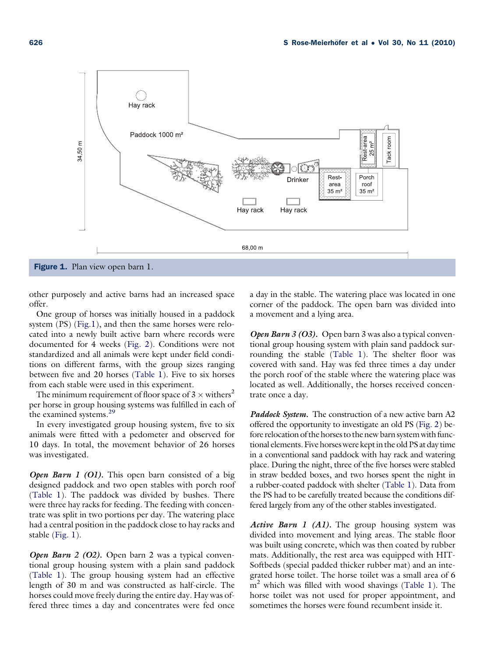

other purposely and active barns had an increased space offer.

One group of horses was initially housed in a paddock system (PS) (Fig.1), and then the same horses were relocated into a newly built active barn where records were documented for 4 weeks ([Fig. 2](#page-3-0)). Conditions were not standardized and all animals were kept under field conditions on different farms, with the group sizes ranging between five and 20 horses ([Table 1](#page-3-0)). Five to six horses from each stable were used in this experiment.

The minimum requirement of floor space of  $3 \times \text{withers}^2$ per horse in group housing systems was fulfilled in each of the examined systems.[29](#page-9-0)

In every investigated group housing system, five to six animals were fitted with a pedometer and observed for 10 days. In total, the movement behavior of 26 horses was investigated.

**Open Barn 1 (O1).** This open barn consisted of a big designed paddock and two open stables with porch roof [\(Table 1\)](#page-3-0). The paddock was divided by bushes. There were three hay racks for feeding. The feeding with concentrate was split in two portions per day. The watering place had a central position in the paddock close to hay racks and stable (Fig. 1).

Open Barn 2 (O2). Open barn 2 was a typical conventional group housing system with a plain sand paddock [\(Table 1\)](#page-3-0). The group housing system had an effective length of 30 m and was constructed as half-circle. The horses could move freely during the entire day. Hay was offered three times a day and concentrates were fed once

a day in the stable. The watering place was located in one corner of the paddock. The open barn was divided into a movement and a lying area.

**Open Barn 3 (O3).** Open barn 3 was also a typical conventional group housing system with plain sand paddock surrounding the stable ([Table 1](#page-3-0)). The shelter floor was covered with sand. Hay was fed three times a day under the porch roof of the stable where the watering place was located as well. Additionally, the horses received concentrate once a day.

Paddock System. The construction of a new active barn A2 offered the opportunity to investigate an old PS [\(Fig. 2](#page-3-0)) before relocation of the horses to the new barn system with functional elements. Five horses were kept in the old PS at day time in a conventional sand paddock with hay rack and watering place. During the night, three of the five horses were stabled in straw bedded boxes, and two horses spent the night in a rubber-coated paddock with shelter [\(Table 1\)](#page-3-0). Data from the PS had to be carefully treated because the conditions differed largely from any of the other stables investigated.

Active Barn  $I(AI)$ . The group housing system was divided into movement and lying areas. The stable floor was built using concrete, which was then coated by rubber mats. Additionally, the rest area was equipped with HIT-Softbeds (special padded thicker rubber mat) and an integrated horse toilet. The horse toilet was a small area of 6  $\text{m}^2$  which was filled with wood shavings ([Table 1](#page-3-0)). The horse toilet was not used for proper appointment, and sometimes the horses were found recumbent inside it.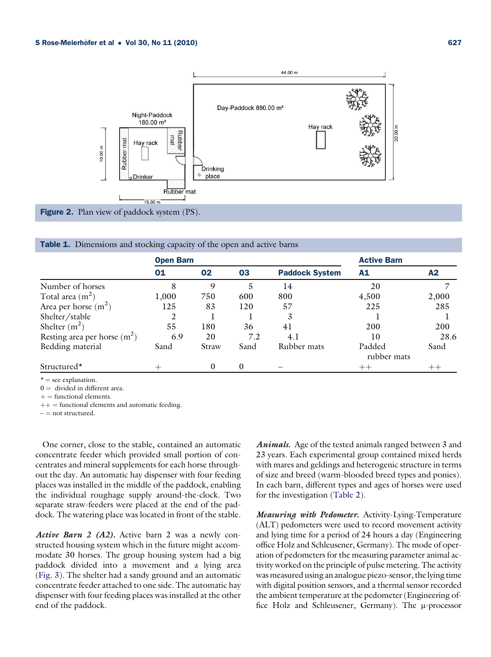<span id="page-3-0"></span>

| <b>Table 1.</b> Dimensions and stocking capacity of the open and active barns |  |  |
|-------------------------------------------------------------------------------|--|--|
|                                                                               |  |  |

|                               | <b>Open Barn</b> |          |          |                       | <b>Active Barn</b>    |                  |  |
|-------------------------------|------------------|----------|----------|-----------------------|-----------------------|------------------|--|
|                               | 01               | 02       | 03       | <b>Paddock System</b> | A1                    | A2               |  |
| Number of horses              | 8                | 9        | 5        | 14                    | 20                    |                  |  |
| Total area $(m^2)$            | 1,000            | 750      | 600      | 800                   | 4,500                 | 2,000            |  |
| Area per horse $(m2)$         | 125              | 83       | 120      | 57                    | 225                   | 285              |  |
| Shelter/stable                | 2                |          |          | 3                     |                       |                  |  |
| Shelter $(m^2)$               | 55               | 180      | 36       | 41                    | 200                   | 200              |  |
| Resting area per horse $(m2)$ | 6.9              | 20       | 7.2      | 4.1                   | 10                    | 28.6             |  |
| Bedding material              | Sand             | Straw    | Sand     | Rubber mats           | Padded<br>rubber mats | Sand             |  |
| Structured*                   |                  | $\Omega$ | $\theta$ |                       | $^{\rm ++}$           | $^{\mathrm{++}}$ |  |

 $* =$  see explanation.

 $0 =$  divided in different area.

 $+=$  functional elements.

 $++$  = functional elements and automatic feeding.

 $-$  = not structured.

One corner, close to the stable, contained an automatic concentrate feeder which provided small portion of concentrates and mineral supplements for each horse throughout the day. An automatic hay dispenser with four feeding places was installed in the middle of the paddock, enabling the individual roughage supply around-the-clock. Two separate straw-feeders were placed at the end of the paddock. The watering place was located in front of the stable.

Active Barn 2 (A2). Active barn 2 was a newly constructed housing system which in the future might accommodate 30 horses. The group housing system had a big paddock divided into a movement and a lying area ([Fig. 3\)](#page-4-0). The shelter had a sandy ground and an automatic concentrate feeder attached to one side. The automatic hay dispenser with four feeding places was installed at the other end of the paddock.

Animals. Age of the tested animals ranged between 3 and 23 years. Each experimental group contained mixed herds with mares and geldings and heterogenic structure in terms of size and breed (warm-blooded breed types and ponies). In each barn, different types and ages of horses were used for the investigation [\(Table 2\)](#page-4-0).

Measuring with Pedometer. Activity-Lying-Temperature (ALT) pedometers were used to record movement activity and lying time for a period of 24 hours a day (Engineering office Holz and Schleusener, Germany). The mode of operation of pedometers for the measuring parameter animal activity worked on the principle of pulse metering. The activity was measured using an analogue piezo-sensor, the lying time with digital position sensors, and a thermal sensor recorded the ambient temperature at the pedometer (Engineering office Holz and Schleusener, Germany). The  $\mu$ -processor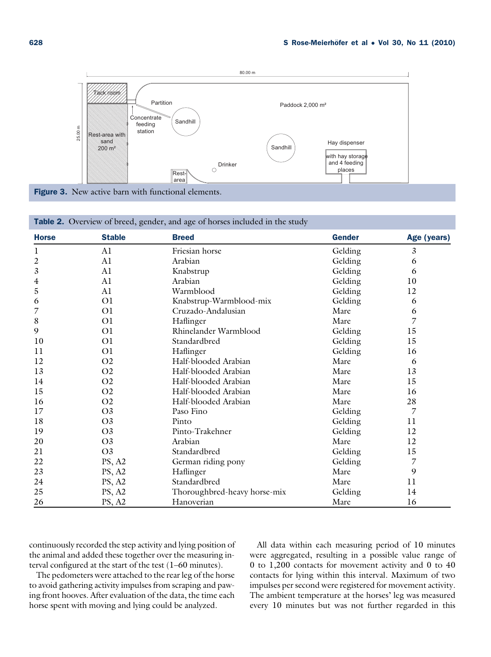<span id="page-4-0"></span>

|  |  |  |  | <b>Table 2.</b> Overview of breed, gender, and age of horses included in the study |
|--|--|--|--|------------------------------------------------------------------------------------|
|  |  |  |  |                                                                                    |

| <b>Stable</b><br><b>Horse</b> |                | <b>Breed</b>                 | <b>Gender</b> | Age (years) |
|-------------------------------|----------------|------------------------------|---------------|-------------|
| 1                             | Al             | Friesian horse               | Gelding       | 3           |
| $\overline{2}$                | Al             | Arabian                      | Gelding       | 6           |
| 3                             | Al             | Knabstrup                    | Gelding       | 6           |
| 4                             | Al             | Arabian                      | Gelding       | 10          |
| 5                             | Al             | Warmblood                    | Gelding       | 12          |
| 6                             | O <sub>1</sub> | Knabstrup-Warmblood-mix      | Gelding       | 6           |
|                               | O <sub>1</sub> | Cruzado-Andalusian           | Mare          | 6           |
| 8                             | O <sub>1</sub> | Haflinger                    | Mare          | 7           |
| 9                             | O <sub>1</sub> | Rhinelander Warmblood        | Gelding       | 15          |
| 10                            | O <sub>1</sub> | Standardbred                 | Gelding       | 15          |
| 11                            | O <sub>1</sub> | Haflinger                    | Gelding       | 16          |
| 12                            | O <sub>2</sub> | Half-blooded Arabian         | Mare          | 6           |
| 13                            | O <sub>2</sub> | Half-blooded Arabian         | Mare          | 13          |
| 14                            | O <sub>2</sub> | Half-blooded Arabian         | Mare          | 15          |
| 15                            | O <sub>2</sub> | Half-blooded Arabian         | Mare          | 16          |
| 16                            | O <sub>2</sub> | Half-blooded Arabian         | Mare          | 28          |
| 17                            | O <sub>3</sub> | Paso Fino                    | Gelding       | 7           |
| 18                            | O <sub>3</sub> | Pinto                        | Gelding       | $_{11}$     |
| 19                            | O <sub>3</sub> | Pinto-Trakehner              | Gelding       | 12          |
| 20                            | O <sub>3</sub> | Arabian                      | Mare          | 12          |
| 21                            | O <sub>3</sub> | Standardbred                 | Gelding       | 15          |
| 22                            | PS, A2         | German riding pony           | Gelding       | 7           |
| 23                            | PS, A2         | Haflinger                    | Mare          | 9           |
| 24                            | PS, A2         | Standardbred                 | Mare          | 11          |
| 25                            | PS, A2         | Thoroughbred-heavy horse-mix | Gelding       | 14          |
| 26                            | PS, A2         | Hanoverian                   | Mare          | 16          |

continuously recorded the step activity and lying position of the animal and added these together over the measuring interval configured at the start of the test (1–60 minutes).

The pedometers were attached to the rear leg of the horse to avoid gathering activity impulses from scraping and pawing front hooves. After evaluation of the data, the time each horse spent with moving and lying could be analyzed.

All data within each measuring period of 10 minutes were aggregated, resulting in a possible value range of 0 to 1,200 contacts for movement activity and 0 to 40 contacts for lying within this interval. Maximum of two impulses per second were registered for movement activity. The ambient temperature at the horses' leg was measured every 10 minutes but was not further regarded in this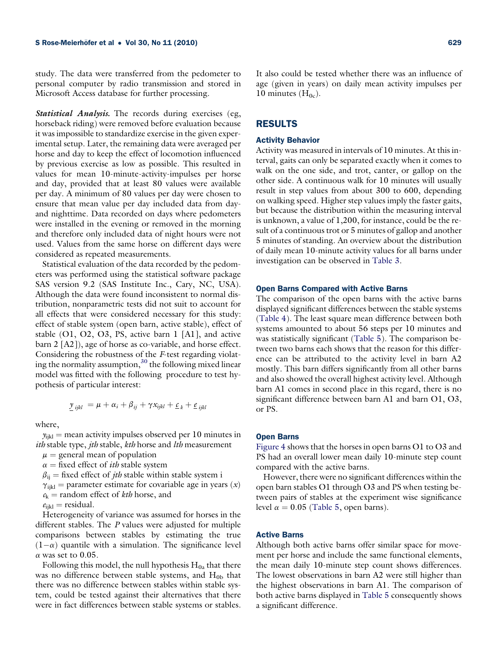study. The data were transferred from the pedometer to personal computer by radio transmission and stored in Microsoft Access database for further processing.

Statistical Analysis. The records during exercises (eg, horseback riding) were removed before evaluation because it was impossible to standardize exercise in the given experimental setup. Later, the remaining data were averaged per horse and day to keep the effect of locomotion influenced by previous exercise as low as possible. This resulted in values for mean 10-minute-activity-impulses per horse and day, provided that at least 80 values were available per day. A minimum of 80 values per day were chosen to ensure that mean value per day included data from dayand nighttime. Data recorded on days where pedometers were installed in the evening or removed in the morning and therefore only included data of night hours were not used. Values from the same horse on different days were considered as repeated measurements.

Statistical evaluation of the data recorded by the pedometers was performed using the statistical software package SAS version 9.2 (SAS Institute Inc., Cary, NC, USA). Although the data were found inconsistent to normal distribution, nonparametric tests did not suit to account for all effects that were considered necessary for this study: effect of stable system (open barn, active stable), effect of stable (O1, O2, O3, PS, active barn 1 [A1], and active barn 2 [A2]), age of horse as co-variable, and horse effect. Considering the robustness of the F-test regarding violating the normality assumption, $30$  the following mixed linear model was fitted with the following procedure to test hypothesis of particular interest:

$$
\underline{y}_{ijkl} = \mu + \alpha_i + \beta_{ij} + \gamma x_{ijkl} + \underline{\epsilon}_k + \underline{\epsilon}_{ijkl}
$$

where,

 $y_{ijkl}$  = mean activity impulses observed per 10 minutes in ith stable type, jth stable, kth horse and lth measurement

- $\mu$  = general mean of population
- $\alpha$  = fixed effect of *ith* stable system
- $\beta_{ij}$  = fixed effect of *jth* stable within stable system i
- $\gamma_{\text{iikl}}$  = parameter estimate for covariable age in years (x)  $c_k$  = random effect of kth horse, and
- $e_{ijkl}$  = residual.

Heterogeneity of variance was assumed for horses in the different stables. The P values were adjusted for multiple comparisons between stables by estimating the true  $(1-\alpha)$  quantile with a simulation. The significance level  $\alpha$  was set to 0.05.

Following this model, the null hypothesis  $H_{0a}$  that there was no difference between stable systems, and  $H_{0b}$  that there was no difference between stables within stable system, could be tested against their alternatives that there were in fact differences between stable systems or stables.

It also could be tested whether there was an influence of age (given in years) on daily mean activity impulses per 10 minutes  $(H_{0c})$ .

## RESULTS

## Activity Behavior

Activity was measured in intervals of 10 minutes. At this interval, gaits can only be separated exactly when it comes to walk on the one side, and trot, canter, or gallop on the other side. A continuous walk for 10 minutes will usually result in step values from about 300 to 600, depending on walking speed. Higher step values imply the faster gaits, but because the distribution within the measuring interval is unknown, a value of 1,200, for instance, could be the result of a continuous trot or 5 minutes of gallop and another 5 minutes of standing. An overview about the distribution of daily mean 10-minute activity values for all barns under investigation can be observed in [Table 3](#page-6-0).

#### Open Barns Compared with Active Barns

The comparison of the open barns with the active barns displayed significant differences between the stable systems ([Table 4](#page-6-0)). The least square mean difference between both systems amounted to about 56 steps per 10 minutes and was statistically significant ([Table 5\)](#page-7-0). The comparison between two barns each shows that the reason for this difference can be attributed to the activity level in barn A2 mostly. This barn differs significantly from all other barns and also showed the overall highest activity level. Although barn A1 comes in second place in this regard, there is no significant difference between barn A1 and barn O1, O3, or PS.

## Open Barns

[Figure 4](#page-8-0) shows that the horses in open barns O1 to O3 and PS had an overall lower mean daily 10-minute step count compared with the active barns.

However, there were no significant differences within the open barn stables O1 through O3 and PS when testing between pairs of stables at the experiment wise significance level  $\alpha = 0.05$  [\(Table 5,](#page-7-0) open barns).

## Active Barns

Although both active barns offer similar space for movement per horse and include the same functional elements, the mean daily 10-minute step count shows differences. The lowest observations in barn A2 were still higher than the highest observations in barn A1. The comparison of both active barns displayed in [Table 5](#page-7-0) consequently shows a significant difference.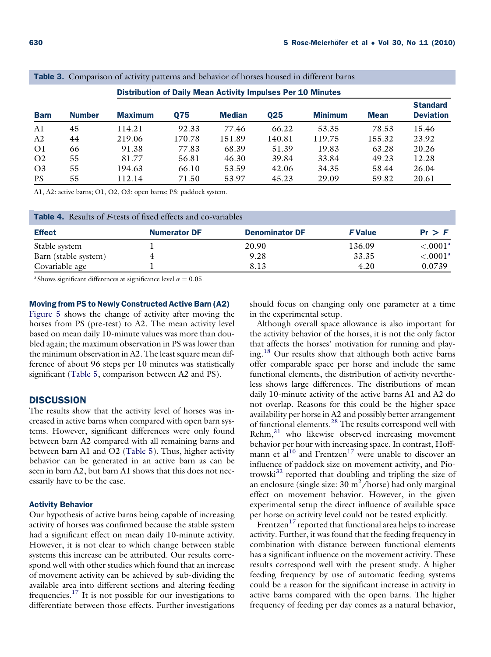|                |               | <b>Distribution of Daily Mean Activity Impulses Per 10 Minutes</b> |        |               |        |                |             |                                     |  |  |
|----------------|---------------|--------------------------------------------------------------------|--------|---------------|--------|----------------|-------------|-------------------------------------|--|--|
| <b>Barn</b>    | <b>Number</b> | <b>Maximum</b>                                                     | 075    | <b>Median</b> | 025    | <b>Minimum</b> | <b>Mean</b> | <b>Standard</b><br><b>Deviation</b> |  |  |
| Al             | 45            | 114.21                                                             | 92.33  | 77.46         | 66.22  | 53.35          | 78.53       | 15.46                               |  |  |
| A2             | 44            | 219.06                                                             | 170.78 | 151.89        | 140.81 | 119.75         | 155.32      | 23.92                               |  |  |
| O <sub>1</sub> | 66            | 91.38                                                              | 77.83  | 68.39         | 51.39  | 19.83          | 63.28       | 20.26                               |  |  |
| O <sub>2</sub> | 55            | 81.77                                                              | 56.81  | 46.30         | 39.84  | 33.84          | 49.23       | 12.28                               |  |  |
| O <sub>3</sub> | 55            | 194.63                                                             | 66.10  | 53.59         | 42.06  | 34.35          | 58.44       | 26.04                               |  |  |
| <b>PS</b>      | 55            | 112.14                                                             | 71.50  | 53.97         | 45.23  | 29.09          | 59.82       | 20.61                               |  |  |

<span id="page-6-0"></span>

|  |  |  | <b>Table 3.</b> Comparison of activity patterns and behavior of horses housed in different barns |
|--|--|--|--------------------------------------------------------------------------------------------------|
|  |  |  |                                                                                                  |

A1, A2: active barns; O1, O2, O3: open barns; PS: paddock system.

| <b>Table 4.</b> Results of <i>F</i> -tests of fixed effects and co-variables |                     |                       |                |                      |  |  |  |  |
|------------------------------------------------------------------------------|---------------------|-----------------------|----------------|----------------------|--|--|--|--|
| <b>Effect</b>                                                                | <b>Numerator DF</b> | <b>Denominator DF</b> | <b>F</b> Value | $Pr$ > F             |  |  |  |  |
| Stable system                                                                |                     | 20.90                 | 136.09         | < .0001 <sup>a</sup> |  |  |  |  |
| Barn (stable system)                                                         |                     | 9.28                  | 33.35          | < .0001 <sup>a</sup> |  |  |  |  |
| Covariable age                                                               |                     | 8.13                  | 4.20           | 0.0739               |  |  |  |  |

<sup>a</sup> Shows significant differences at significance level  $\alpha = 0.05$ .

Moving from PS to Newly Constructed Active Barn (A2)

[Figure 5](#page-8-0) shows the change of activity after moving the horses from PS (pre-test) to A2. The mean activity level based on mean daily 10-minute values was more than doubled again; the maximum observation in PS was lower than the minimum observation in A2. The least square mean difference of about 96 steps per 10 minutes was statistically significant [\(Table 5,](#page-7-0) comparison between A2 and PS).

# **DISCUSSION**

The results show that the activity level of horses was increased in active barns when compared with open barn systems. However, significant differences were only found between barn A2 compared with all remaining barns and between barn A1 and O2 [\(Table 5\)](#page-7-0). Thus, higher activity behavior can be generated in an active barn as can be seen in barn A2, but barn A1 shows that this does not necessarily have to be the case.

## Activity Behavior

Our hypothesis of active barns being capable of increasing activity of horses was confirmed because the stable system had a significant effect on mean daily 10-minute activity. However, it is not clear to which change between stable systems this increase can be attributed. Our results correspond well with other studies which found that an increase of movement activity can be achieved by sub-dividing the available area into different sections and altering feeding frequencies.[17](#page-9-0) It is not possible for our investigations to differentiate between those effects. Further investigations

should focus on changing only one parameter at a time in the experimental setup.

Although overall space allowance is also important for the activity behavior of the horses, it is not the only factor that affects the horses' motivation for running and playing.[18](#page-9-0) Our results show that although both active barns offer comparable space per horse and include the same functional elements, the distribution of activity nevertheless shows large differences. The distributions of mean daily 10-minute activity of the active barns A1 and A2 do not overlap. Reasons for this could be the higher space availability per horse in A2 and possibly better arrangement of functional elements.[28](#page-9-0) The results correspond well with Rehm,[31](#page-9-0) who likewise observed increasing movement behavior per hour with increasing space. In contrast, Hoffmann et  $al^{10}$  $al^{10}$  $al^{10}$  and Frentzen<sup>[17](#page-9-0)</sup> were unable to discover an influence of paddock size on movement activity, and Pio-trowski<sup>[32](#page-10-0)</sup> reported that doubling and tripling the size of an enclosure (single size: 30 m<sup>2</sup> /horse) had only marginal effect on movement behavior. However, in the given experimental setup the direct influence of available space per horse on activity level could not be tested explicitly.

Frentzen $^{17}$  $^{17}$  $^{17}$  reported that functional area helps to increase activity. Further, it was found that the feeding frequency in combination with distance between functional elements has a significant influence on the movement activity. These results correspond well with the present study. A higher feeding frequency by use of automatic feeding systems could be a reason for the significant increase in activity in active barns compared with the open barns. The higher frequency of feeding per day comes as a natural behavior,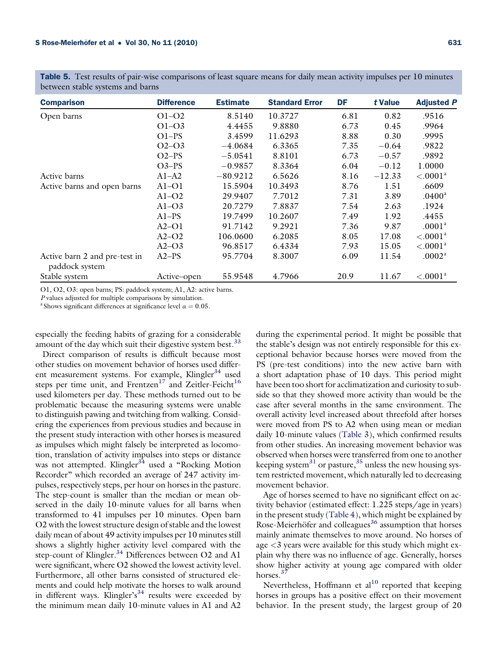| <b>Comparison</b>                               | <b>Difference</b> | <b>Estimate</b> | <b>Standard Error</b> | DF   | t Value  | <b>Adjusted P</b>    |
|-------------------------------------------------|-------------------|-----------------|-----------------------|------|----------|----------------------|
| Open barns                                      | $O1-O2$           | 8.5140          | 10.3727               | 6.81 | 0.82     | .9516                |
|                                                 | $O1-O3$           | 4.4455          | 9.8880                | 6.73 | 0.45     | .9964                |
|                                                 | $O1-PS$           | 3.4599          | 11.6293               | 8.88 | 0.30     | .9995                |
|                                                 | $O2-O3$           | $-4.0684$       | 6.3365                | 7.35 | $-0.64$  | .9822                |
|                                                 | $O2-PS$           | $-5.0541$       | 8.8101                | 6.73 | $-0.57$  | .9892                |
|                                                 | $O3-PS$           | $-0.9857$       | 8.3364                | 6.04 | $-0.12$  | 1.0000               |
| Active barns                                    | $AI-A2$           | $-80.9212$      | 6.5626                | 8.16 | $-12.33$ | < .0001 <sup>a</sup> |
| Active barns and open barns                     | $Al-O1$           | 15.5904         | 10.3493               | 8.76 | 1.51     | .6609                |
|                                                 | $Al-O2$           | 29.9407         | 7.7012                | 7.31 | 3.89     | .0400 <sup>a</sup>   |
|                                                 | $Al-O3$           | 20.7279         | 7.8837                | 7.54 | 2.63     | .1924                |
|                                                 | $AI-PS$           | 19.7499         | 10.2607               | 7.49 | 1.92     | .4455                |
|                                                 | $A2-O1$           | 91.7142         | 9.2921                | 7.36 | 9.87     | .0001 <sup>a</sup>   |
|                                                 | $A2-O2$           | 106.0600        | 6.2085                | 8.05 | 17.08    | < .0001 <sup>a</sup> |
|                                                 | $A2-O3$           | 96.8517         | 6.4334                | 7.93 | 15.05    | < .0001 <sup>a</sup> |
| Active barn 2 and pre-test in<br>paddock system | $A2-PS$           | 95.7704         | 8.3007                | 6.09 | 11.54    | .0002 <sup>a</sup>   |
| Stable system                                   | Active-open       | 55.9548         | 4.7966                | 20.9 | 11.67    | < .0001 <sup>a</sup> |

<span id="page-7-0"></span>Table 5. Test results of pair-wise comparisons of least square means for daily mean activity impulses per 10 minutes between stable systems and barns

O1, O2, O3: open barns; PS: paddock system; A1, A2: active barns.

 $P$  values adjusted for multiple comparisons by simulation.

<sup>a</sup> Shows significant differences at significance level  $\alpha = 0.05$ .

especially the feeding habits of grazing for a considerable amount of the day which suit their digestive system best.<sup>[33](#page-10-0)</sup>

Direct comparison of results is difficult because most other studies on movement behavior of horses used different measurement systems. For example, Klingler $34$  used steps per time unit, and Frentzen<sup>[17](#page-9-0)</sup> and Zeitler-Feicht<sup>[16](#page-9-0)</sup> used kilometers per day. These methods turned out to be problematic because the measuring systems were unable to distinguish pawing and twitching from walking. Considering the experiences from previous studies and because in the present study interaction with other horses is measured as impulses which might falsely be interpreted as locomotion, translation of activity impulses into steps or distance was not attempted. Klingler<sup>[34](#page-10-0)</sup> used a "Rocking Motion" Recorder" which recorded an average of 247 activity impulses, respectively steps, per hour on horses in the pasture. The step-count is smaller than the median or mean observed in the daily 10-minute values for all barns when transformed to 41 impulses per 10 minutes. Open barn O2 with the lowest structure design of stable and the lowest daily mean of about 49 activity impulses per 10 minutes still shows a slightly higher activity level compared with the step-count of Klingler. $34$  Differences between O2 and A1 were significant, where O2 showed the lowest activity level. Furthermore, all other barns consisted of structured elements and could help motivate the horses to walk around in different ways. Klingler's $34$  results were exceeded by the minimum mean daily 10-minute values in A1 and A2 during the experimental period. It might be possible that the stable's design was not entirely responsible for this exceptional behavior because horses were moved from the PS (pre-test conditions) into the new active barn with a short adaptation phase of 10 days. This period might have been too short for acclimatization and curiosity to subside so that they showed more activity than would be the case after several months in the same environment. The overall activity level increased about threefold after horses were moved from PS to A2 when using mean or median daily 10-minute values [\(Table 3\)](#page-6-0), which confirmed results from other studies. An increasing movement behavior was observed when horses were transferred from one to another keeping system $31$  or pasture,  $35$  unless the new housing system restricted movement, which naturally led to decreasing movement behavior.

Age of horses seemed to have no significant effect on activity behavior (estimated effect: 1.225 steps/age in years) in the present study ([Table 4](#page-6-0)), which might be explained by Rose-Meierhöfer and colleagues<sup>[36](#page-10-0)</sup> assumption that horses mainly animate themselves to move around. No horses of age  $\langle 3 \rangle$  years were available for this study which might explain why there was no influence of age. Generally, horses show higher activity at young age compared with older horses.<sup>[37](#page-10-0)</sup>

Nevertheless, Hoffmann et  $al^{10}$  $al^{10}$  $al^{10}$  reported that keeping horses in groups has a positive effect on their movement behavior. In the present study, the largest group of 20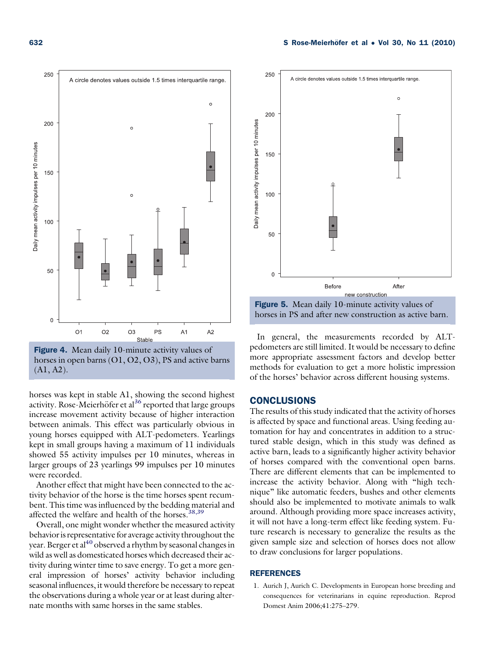<span id="page-8-0"></span>

horses in open barns (O1, O2, O3), PS and active barns (A1, A2).

horses was kept in stable A1, showing the second highest activity. Rose-Meierhöfer et al<sup>[36](#page-10-0)</sup> reported that large groups increase movement activity because of higher interaction between animals. This effect was particularly obvious in young horses equipped with ALT-pedometers. Yearlings kept in small groups having a maximum of 11 individuals showed 55 activity impulses per 10 minutes, whereas in larger groups of 23 yearlings 99 impulses per 10 minutes were recorded.

Another effect that might have been connected to the activity behavior of the horse is the time horses spent recumbent. This time was influenced by the bedding material and affected the welfare and health of the horses.<sup>[38,39](#page-10-0)</sup>

Overall, one might wonder whether the measured activity behavior is representative for average activity throughout the year. Berger et al<sup>40</sup> observed a rhythm by seasonal changes in wild as well as domesticated horses which decreased their activity during winter time to save energy. To get a more general impression of horses' activity behavior including seasonal influences, it would therefore be necessary to repeat the observations during a whole year or at least during alternate months with same horses in the same stables.



Figure 5. Mean daily 10-minute activity values of horses in PS and after new construction as active barn.

In general, the measurements recorded by ALTpedometers are still limited. It would be necessary to define more appropriate assessment factors and develop better methods for evaluation to get a more holistic impression of the horses' behavior across different housing systems.

# **CONCLUSIONS**

The results of this study indicated that the activity of horses is affected by space and functional areas. Using feeding automation for hay and concentrates in addition to a structured stable design, which in this study was defined as active barn, leads to a significantly higher activity behavior of horses compared with the conventional open barns. There are different elements that can be implemented to increase the activity behavior. Along with "high technique" like automatic feeders, bushes and other elements should also be implemented to motivate animals to walk around. Although providing more space increases activity, it will not have a long-term effect like feeding system. Future research is necessary to generalize the results as the given sample size and selection of horses does not allow to draw conclusions for larger populations.

## REFERENCES

1. Aurich J, Aurich C. Developments in European horse breeding and consequences for veterinarians in equine reproduction. Reprod Domest Anim 2006;41:275–279.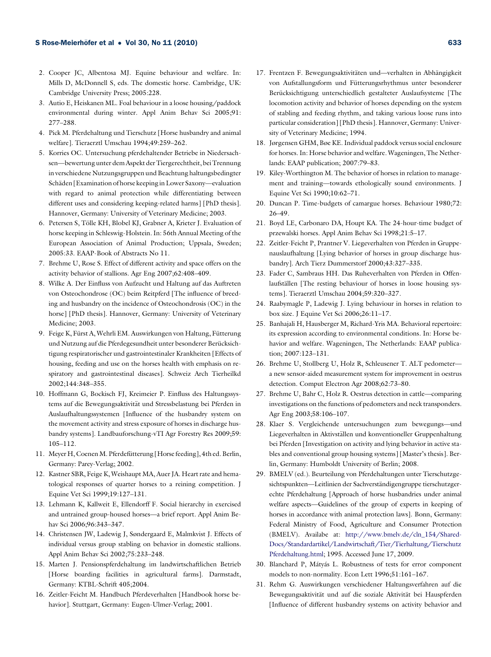- <span id="page-9-0"></span>2. Cooper JC, Albentosa MJ. Equine behaviour and welfare. In: Mills D, McDonnell S, eds. The domestic horse. Cambridge, UK: Cambridge University Press; 2005:228.
- 3. Autio E, Heiskanen ML. Foal behaviour in a loose housing/paddock environmental during winter. Appl Anim Behav Sci 2005;91: 277–288.
- 4. Pick M. Pferdehaltung und Tierschutz [Horse husbandry and animal welfare]. Tieraerztl Umschau 1994;49:259–262.
- 5. Korries OC. Untersuchung pferdehaltender Betriebe in Niedersachsen—bewertung unter dem Aspekt der Tiergerechtheit, bei Trennung in verschiedene Nutzungsgruppen und Beachtung haltungsbedingter Schäden [Examination of horse keeping in Lower Saxony—evaluation with regard to animal protection while differentiating between different uses and considering keeping-related harms] [PhD thesis]. Hannover, Germany: University of Veterinary Medicine; 2003.
- 6. Petersen S, Tölle KH, Blobel KJ, Grabner A, Krieter J. Evaluation of horse keeping in Schleswig-Holstein. In: 56th Annual Meeting of the European Association of Animal Production; Uppsala, Sweden; 2005:33. EAAP-Book of Abstracts No 11.
- 7. Brehme U, Rose S. Effect of different activity and space offers on the activity behavior of stallions. Agr Eng 2007;62:408–409.
- 8. Wilke A. Der Einfluss von Aufzucht und Haltung auf das Auftreten von Osteochondrose (OC) beim Reitpferd [The influence of breeding and husbandry on the incidence of Osteochondrosis (OC) in the horse] [PhD thesis]. Hannover, Germany: University of Veterinary Medicine; 2003.
- 9. Feige K, Fürst A, Wehrli EM. Auswirkungen von Haltung, Fütterung und Nutzung auf die Pferdegesundheit unter besonderer Berücksichtigung respiratorischer und gastrointestinaler Krankheiten [Effects of housing, feeding and use on the horses health with emphasis on respiratory and gastrointestinal diseases]. Schweiz Arch Tierheilkd 2002;144:348–355.
- 10. Hoffmann G, Bockisch FJ, Kreimeier P. Einfluss des Haltungssystems auf die Bewegungsaktivität und Stressbelastung bei Pferden in Auslaufhaltungssystemen [Influence of the husbandry system on the movement activity and stress exposure of horses in discharge husbandry systems]. Landbauforschung-vTI Agr Forestry Res 2009;59: 105–112.
- 11. Meyer H, Coenen M. Pferdefutterung [Horse feeding], 4th ed. Berlin, Germany: Parey-Verlag; 2002.
- 12. Kastner SBR, Feige K, Weishaupt MA, Auer JA. Heart rate and hematological responses of quarter horses to a reining competition. J Equine Vet Sci 1999;19:127–131.
- 13. Lehmann K, Kallweit E, Ellendorff F. Social hierarchy in exercised and untrained group-housed horses—a brief report. Appl Anim Behav Sci 2006;96:343–347.
- 14. Christensen JW, Ladewig J, Søndergaard E, Malmkvist J. Effects of individual versus group stabling on behavior in domestic stallions. Appl Anim Behav Sci 2002;75:233–248.
- 15. Marten J. Pensionspferdehaltung im landwirtschaftlichen Betrieb [Horse boarding facilities in agricultural farms]. Darmstadt, Germany: KTBL-Schrift 405;2004.
- 16. Zeitler-Feicht M. Handbuch Pferdeverhalten [Handbook horse behavior]. Stuttgart, Germany: Eugen-Ulmer-Verlag; 2001.
- 17. Frentzen F. Bewegungsaktivitäten und—verhalten in Abhängigkeit von Aufstallungsform und Fütterungsrhythmus unter besonderer Berücksichtigung unterschiedlich gestalteter Auslaufsysteme [The locomotion activity and behavior of horses depending on the system of stabling and feeding rhythm, and taking various loose runs into particular consideration] [PhD thesis]. Hannover, Germany: University of Veterinary Medicine; 1994.
- 18. Jørgensen GHM, Bøe KE. Individual paddock versus social enclosure for horses. In: Horse behavior and welfare. Wageningen, The Netherlands: EAAP publication; 2007:79–83.
- 19. Kiley-Worthington M. The behavior of horses in relation to management and training—towards ethologically sound environments. J Equine Vet Sci 1990;10:62–71.
- 20. Duncan P. Time-budgets of camargue horses. Behaviour 1980;72: 26–49.
- 21. Boyd LE, Carbonaro DA, Houpt KA. The 24-hour-time budget of przewalski horses. Appl Anim Behav Sci 1998;21:5–17.
- 22. Zeitler-Feicht P, Prantner V. Liegeverhalten von Pferden in Gruppenauslaufhaltung [Lying behavior of horses in group discharge husbandry]. Arch Tierz Dummerstorf 2000;43:327–335.
- 23. Fader C, Sambraus HH. Das Ruheverhalten von Pferden in Offenlaufställen [The resting behaviour of horses in loose housing systems]. Tieraerztl Umschau 2004;59:320–327.
- 24. Raabymagle P, Ladewig J. Lying behaviour in horses in relation to box size. J Equine Vet Sci 2006;26:11–17.
- 25. Banhajali H, Hausberger M, Richard-Yris MA. Behavioral repertoire: its expression according to environmental conditions. In: Horse behavior and welfare. Wageningen, The Netherlands: EAAP publication; 2007:123–131.
- 26. Brehme U, Stollberg U, Holz R, Schleusener T. ALT pedometer a new sensor-aided measurement system for improvement in oestrus detection. Comput Electron Agr 2008;62:73–80.
- 27. Brehme U, Bahr C, Holz R. Oestrus detection in cattle—comparing investigations on the functions of pedometers and neck transponders. Agr Eng 2003;58:106–107.
- 28. Klaer S. Vergleichende untersuchungen zum bewegungs—und Liegeverhalten in Aktivställen und konventioneller Gruppenhaltung bei Pferden [Investigation on activity and lying behavior in active stables and conventional group housing systems] [Master's thesis]. Berlin, Germany: Humboldt University of Berlin; 2008.
- 29. BMELV (ed.). Beurteilung von Pferdehaltungen unter Tierschutzgesichtspunkten—Leitlinien der Sachverständigengruppe tierschutzgerechte Pferdehaltung [Approach of horse husbandries under animal welfare aspects—Guidelines of the group of experts in keeping of horses in accordance with animal protection laws]. Bonn, Germany: Federal Ministry of Food, Agriculture and Consumer Protection (BMELV). Availabe at: [http://www.bmelv.de/cln\\_154/Shared-](http://www.bmelv.de/cln_154/SharedDocs/Standardartikel/Landwirtschaft/Tier/Tierhaltung/TierschutzPferdehaltung.html)[Docs/Standardartikel/Landwirtschaft/Tier/Tierhaltung/Tierschutz](http://www.bmelv.de/cln_154/SharedDocs/Standardartikel/Landwirtschaft/Tier/Tierhaltung/TierschutzPferdehaltung.html) [Pferdehaltung.html](http://www.bmelv.de/cln_154/SharedDocs/Standardartikel/Landwirtschaft/Tier/Tierhaltung/TierschutzPferdehaltung.html); 1995. Accessed June 17, 2009.
- 30. Blanchard P, Mátyás L. Robustness of tests for error component models to non-normality. Econ Lett 1996;51:161–167.
- 31. Rehm G. Auswirkungen verschiedener Haltungsverfahren auf die Bewegungsaktivität und auf die soziale Aktivität bei Hauspferden [Influence of different husbandry systems on activity behavior and